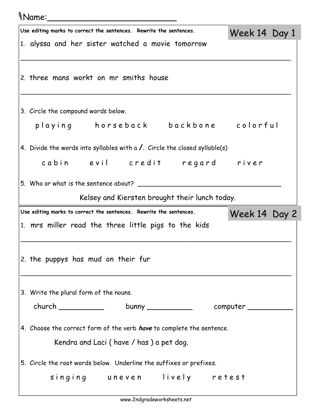## Name:\_\_\_\_\_\_\_\_\_\_\_\_\_\_\_\_\_\_\_\_\_\_\_\_\_

| Use editing marks to correct the sentences. Rewrite the sentences.                 | Week 14 Day 1 |  |
|------------------------------------------------------------------------------------|---------------|--|
| 1. alyssa and her sister watched a movie tomorrow                                  |               |  |
|                                                                                    |               |  |
| 2. three mans workt on mr smiths house                                             |               |  |
| 3. Circle the compound words below.                                                |               |  |
| playing horseback backbone colorful                                                |               |  |
| 4. Divide the words into syllables with a $\prime$ . Circle the closed syllable(s) |               |  |
| cabin evil credit regard river                                                     |               |  |
| 5. Who or what is the sentence about?                                              |               |  |
| Kelsey and Kiersten brought their lunch today.                                     |               |  |
| Use editing marks to correct the sentences. Rewrite the sentences.                 |               |  |
| 1. mrs miller read the three little pigs to the kids                               | Week 14 Day 2 |  |
|                                                                                    |               |  |
| 2. the puppys has mud on their fur                                                 |               |  |
| 3. Write the plural form of the nouns.                                             |               |  |
| church __________________bunny ___________________computer _____________________   |               |  |
| 4. Choose the correct form of the verb <i>have</i> to complete the sentence.       |               |  |
| Kendra and Laci (have / has) a pet dog.                                            |               |  |
| 5. Circle the root words below. Underline the suffixes or prefixes.                |               |  |
| singing uneven lively retest                                                       |               |  |
|                                                                                    |               |  |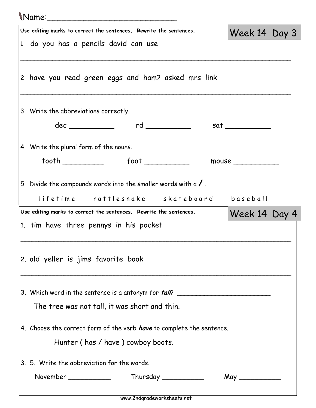| \Name:______                                                                 |               |  |
|------------------------------------------------------------------------------|---------------|--|
| Use editing marks to correct the sentences. Rewrite the sentences.           | Week 14 Day 3 |  |
| 1. do you has a pencils david can use                                        |               |  |
| 2. have you read green eggs and ham? asked mrs link                          |               |  |
| 3. Write the abbreviations correctly.                                        |               |  |
|                                                                              |               |  |
| 4. Write the plural form of the nouns.                                       |               |  |
|                                                                              | mouse         |  |
| 5. Divide the compounds words into the smaller words with a $\sqrt{ }$ .     |               |  |
| lifetime rattlesnake skateboard baseball                                     |               |  |
| Use editing marks to correct the sentences. Rewrite the sentences.           | Week 14 Day 4 |  |
| 1. tim have three pennys in his pocket                                       |               |  |
| 2. old yeller is jims favorite book                                          |               |  |
| 3. Which word in the sentence is a antonym for <i>tall</i> ?                 |               |  |
| The tree was not tall, it was short and thin.                                |               |  |
| 4. Choose the correct form of the verb <i>have</i> to complete the sentence. |               |  |
| Hunter (has / have) cowboy boots.                                            |               |  |
| 3. 5. Write the abbreviation for the words.                                  |               |  |
| Thursday ____________<br>November ___________                                | $May \_\_$    |  |
|                                                                              |               |  |

www.2ndgradeworksheets.net